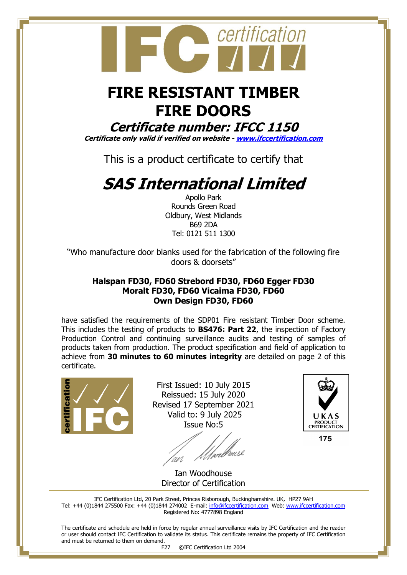

## **FIRE RESISTANT TIMBER FIRE DOORS**

### **Certificate number: IFCC 1150**

**Certificate only valid if verified on website - [www.ifccertification.com](http://www.ifccertification.com/)**

This is a product certificate to certify that

# **SAS International Limited**

Apollo Park Rounds Green Road Oldbury, West Midlands B69 2DA Tel: 0121 511 1300

"Who manufacture door blanks used for the fabrication of the following fire doors & doorsets"

#### **Halspan FD30, FD60 Strebord FD30, FD60 Egger FD30 Moralt FD30, FD60 Vicaima FD30, FD60 Own Design FD30, FD60**

have satisfied the requirements of the SDP01 Fire resistant Timber Door scheme. This includes the testing of products to **BS476: Part 22**, the inspection of Factory Production Control and continuing surveillance audits and testing of samples of products taken from production. The product specification and field of application to achieve from **30 minutes to 60 minutes integrity** are detailed on page 2 of this certificate.



First Issued: 10 July 2015 Reissued: 15 July 2020 Revised 17 September 2021 Valid to: 9 July 2025 Issue No:5

an



175

Ian Woodhouse Director of Certification

IFC Certification Ltd, 20 Park Street, Princes Risborough, Buckinghamshire. UK, HP27 9AH Tel: +44 (0)1844 275500 Fax: +44 (0)1844 274002 E-mail: [info@ifccertification.com](mailto:info@ifccertification.com) Web: [www.ifccertification.com](http://www.ifccertification.com/) Registered No: 4777898 England

The certificate and schedule are held in force by regular annual surveillance visits by IFC Certification and the reader or user should contact IFC Certification to validate its status. This certificate remains the property of IFC Certification and must be returned to them on demand.

F27 ©IFC Certification Ltd 2004